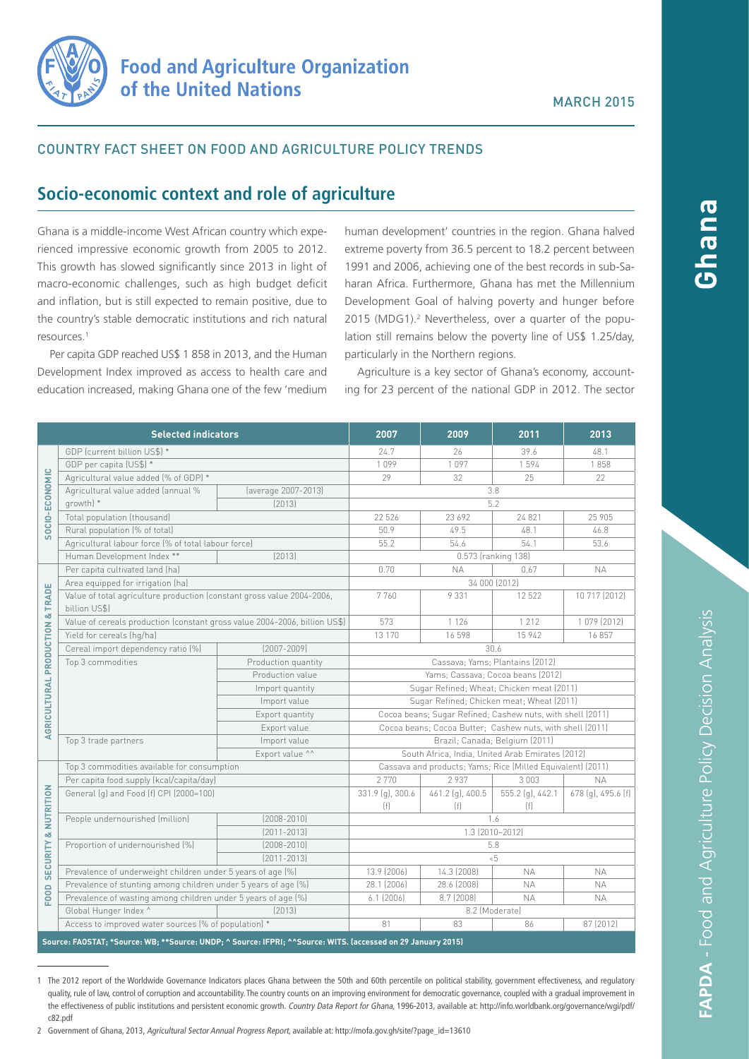

## Country fact sheet on food and agriculture policy trends

# **Socio-economic context and role of agriculture**

Ghana is a middle-income West African country which experienced impressive economic growth from 2005 to 2012. This growth has slowed significantly since 2013 in light of macro-economic challenges, such as high budget deficit and inflation, but is still expected to remain positive, due to the country's stable democratic institutions and rich natural resources.1

Per capita GDP reached US\$ 1 858 in 2013, and the Human Development Index improved as access to health care and education increased, making Ghana one of the few 'medium

human development' countries in the region. Ghana halved extreme poverty from 36.5 percent to 18.2 percent between 1991 and 2006, achieving one of the best records in sub-Saharan Africa. Furthermore, Ghana has met the Millennium Development Goal of halving poverty and hunger before 2015 (MDG1).<sup>2</sup> Nevertheless, over a quarter of the population still remains below the poverty line of US\$ 1.25/day, particularly in the Northern regions.

Agriculture is a key sector of Ghana's economy, accounting for 23 percent of the national GDP in 2012. The sector

| <b>Selected indicators</b>                                                                                   |                                                                                         |                     | 2007                                                        | 2009                    | 2011                    | 2013               |
|--------------------------------------------------------------------------------------------------------------|-----------------------------------------------------------------------------------------|---------------------|-------------------------------------------------------------|-------------------------|-------------------------|--------------------|
| SOCIO-ECONOMIC                                                                                               | GDP (current billion US\$) *                                                            |                     | 24.7                                                        | 26                      | 39.6                    | 48.1               |
|                                                                                                              | GDP per capita (US\$) *                                                                 |                     | 1099                                                        | 1097                    | 1594                    | 1858               |
|                                                                                                              | Agricultural value added (% of GDP) *                                                   |                     | 29                                                          | 32                      | 25                      | 22                 |
|                                                                                                              | Agricultural value added (annual %                                                      | (average 2007-2013) |                                                             |                         | 3.8                     |                    |
|                                                                                                              | growth) *                                                                               | [2013]              | 5.2                                                         |                         |                         |                    |
|                                                                                                              | Total population (thousand)                                                             |                     | 22 5 26                                                     | 23 692                  | 24 8 21                 | 25 905             |
|                                                                                                              | Rural population (% of total)                                                           |                     | 50.9                                                        | 49.5                    | 48.1                    | 46.8               |
|                                                                                                              | Agricultural labour force (% of total labour force)                                     |                     | 55.2                                                        | 54.6                    | 54.1                    | 53.6               |
|                                                                                                              | Human Development Index **<br>[2013]                                                    |                     | 0.573 (ranking 138)                                         |                         |                         |                    |
| AGRICULTURAL PRODUCTION & TRADE                                                                              | Per capita cultivated land (ha)                                                         |                     | 0.70                                                        | <b>NA</b>               | 0.67                    | <b>NA</b>          |
|                                                                                                              | Area equipped for irrigation (ha)                                                       |                     | 34 000 (2012)                                               |                         |                         |                    |
|                                                                                                              | Value of total agriculture production (constant gross value 2004-2006,<br>billion US\$) |                     | 7760                                                        | 9 3 3 1                 | 12 5 22                 | 10 717 (2012)      |
|                                                                                                              | Value of cereals production (constant gross value 2004-2006, billion US\$)              |                     | 573                                                         | 1 1 2 6                 | 1 2 1 2                 | 1079 (2012)        |
|                                                                                                              | Yield for cereals (hg/ha)                                                               |                     | 13 170                                                      | 16598                   | 15 942                  | 16857              |
|                                                                                                              | Cereal import dependency ratio [%]                                                      | $[2007 - 2009]$     | 30.6                                                        |                         |                         |                    |
|                                                                                                              | Top 3 commodities                                                                       | Production quantity | Cassava; Yams; Plantains (2012)                             |                         |                         |                    |
|                                                                                                              |                                                                                         | Production value    | Yams; Cassava; Cocoa beans (2012)                           |                         |                         |                    |
|                                                                                                              |                                                                                         | Import quantity     | Sugar Refined; Wheat; Chicken meat (2011)                   |                         |                         |                    |
|                                                                                                              |                                                                                         | Import value        | Sugar Refined; Chicken meat; Wheat (2011)                   |                         |                         |                    |
|                                                                                                              |                                                                                         | Export quantity     | Cocoa beans; Sugar Refined; Cashew nuts, with shell (2011)  |                         |                         |                    |
|                                                                                                              |                                                                                         | Export value        | Cocoa beans; Cocoa Butter; Cashew nuts, with shell (2011)   |                         |                         |                    |
|                                                                                                              | Top 3 trade partners                                                                    | Import value        | Brazil; Canada; Belgium (2011)                              |                         |                         |                    |
|                                                                                                              |                                                                                         | Export value ^^     | South Africa, India, United Arab Emirates (2012)            |                         |                         |                    |
| <b>SECURITY &amp; NUTRITION</b><br>FOOD                                                                      | Top 3 commodities available for consumption                                             |                     | Cassava and products; Yams; Rice (Milled Equivalent) (2011) |                         |                         |                    |
|                                                                                                              | Per capita food supply (kcal/capita/day)                                                |                     | 2770                                                        | 2937                    | 3 0 0 3                 | NA.                |
|                                                                                                              | General (g) and Food (f) CPI (2000=100)                                                 |                     | 331.9 (g), 300.6<br>(f)                                     | 461.2 (g), 400.5<br>[f] | 555.2 (g), 442.1<br>(f) | 678 (g), 495.6 (f) |
|                                                                                                              | People undernourished (million)                                                         | $(2008 - 2010)$     | 1.6                                                         |                         |                         |                    |
|                                                                                                              |                                                                                         | $[2011 - 2013]$     | 1.3 (2010-2012)                                             |                         |                         |                    |
|                                                                                                              | Proportion of undernourished (%)                                                        | $[2008 - 2010]$     | 5.8                                                         |                         |                         |                    |
|                                                                                                              |                                                                                         | $[2011 - 2013]$     | $5 - 5$                                                     |                         |                         |                    |
|                                                                                                              | Prevalence of underweight children under 5 years of age (%)                             |                     | 13.9 (2006)                                                 | 14.3 (2008)             | <b>NA</b>               | <b>NA</b>          |
|                                                                                                              | Prevalence of stunting among children under 5 years of age (%)                          |                     | 28.1 (2006)                                                 | 28.6 (2008)             | <b>NA</b>               | <b>NA</b>          |
|                                                                                                              | Prevalence of wasting among children under 5 years of age (%)                           |                     | $6.1$ (2006)                                                | 8.7 (2008)              | <b>NA</b>               | <b>NA</b>          |
|                                                                                                              | Global Hunger Index ^                                                                   | (2013)              | 8.2 (Moderate)                                              |                         |                         |                    |
|                                                                                                              | Access to improved water sources (% of population) *                                    |                     | 81                                                          | 83                      | 86                      | 87 (2012)          |
| Source: FAOSTAT; *Source: WB; **Source: UNDP; ^ Source: IFPRI; ^^Source: WITS. (accessed on 29 January 2015) |                                                                                         |                     |                                                             |                         |                         |                    |

1 The 2012 report of the Worldwide Governance Indicators places Ghana between the 50th and 60th percentile on political stability, government effectiveness, and regulatory quality, rule of law, control of corruption and accountability. The country counts on an improving environment for democratic governance, coupled with a gradual improvement in the effectiveness of public institutions and persistent economic growth. Country Data Report for Ghana, 1996-2013, available at: [http://info.worldbank.org/governance/wgi/pdf/](http://info.worldbank.org/governance/wgi/pdf/c82.pdf) [c82.pdf](http://info.worldbank.org/governance/wgi/pdf/c82.pdf)

<sup>2</sup> Government of Ghana, 2013, Agricultural Sector Annual Progress Report, available at: [http://mofa.gov.gh/site/?page\\_id=13610](http://mofa.gov.gh/site/?page_id=13610)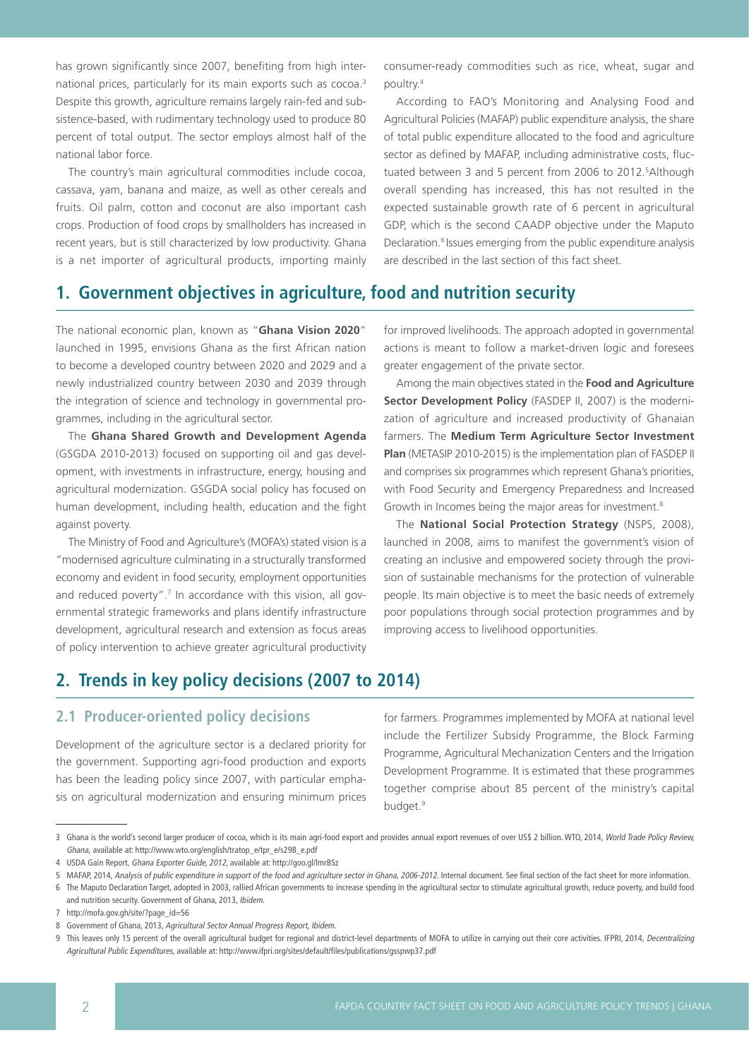has grown significantly since 2007, benefiting from high international prices, particularly for its main exports such as cocoa.<sup>3</sup> Despite this growth, agriculture remains largely rain-fed and subsistence-based, with rudimentary technology used to produce 80 percent of total output. The sector employs almost half of the national labor force.

The country's main agricultural commodities include cocoa, cassava, yam, banana and maize, as well as other cereals and fruits. Oil palm, cotton and coconut are also important cash crops. Production of food crops by smallholders has increased in recent years, but is still characterized by low productivity. Ghana is a net importer of agricultural products, importing mainly consumer-ready commodities such as rice, wheat, sugar and poultry.4

According to FAO's Monitoring and Analysing Food and Agricultural Policies (MAFAP) public expenditure analysis, the share of total public expenditure allocated to the food and agriculture sector as defined by MAFAP, including administrative costs, fluctuated between 3 and 5 percent from 2006 to 2012.<sup>5</sup> Although overall spending has increased, this has not resulted in the expected sustainable growth rate of 6 percent in agricultural GDP, which is the second CAADP objective under the Maputo Declaration.<sup>6</sup> Issues emerging from the public expenditure analysis are described in the last section of this fact sheet.

## **1. Government objectives in agriculture, food and nutrition security**

The national economic plan, known as "**Ghana Vision 2020**" launched in 1995, envisions Ghana as the first African nation to become a developed country between 2020 and 2029 and a newly industrialized country between 2030 and 2039 through the integration of science and technology in governmental programmes, including in the agricultural sector.

The **Ghana Shared Growth and Development Agenda** (GSGDA 2010-2013) focused on supporting oil and gas development, with investments in infrastructure, energy, housing and agricultural modernization. GSGDA social policy has focused on human development, including health, education and the fight against poverty.

The Ministry of Food and Agriculture's (MOFA's) stated vision is a "modernised agriculture culminating in a structurally transformed economy and evident in food security, employment opportunities and reduced poverty".<sup>7</sup> In accordance with this vision, all governmental strategic frameworks and plans identify infrastructure development, agricultural research and extension as focus areas of policy intervention to achieve greater agricultural productivity for improved livelihoods. The approach adopted in governmental actions is meant to follow a market-driven logic and foresees greater engagement of the private sector.

Among the main objectives stated in the **Food and Agriculture Sector Development Policy** (FASDEP II, 2007) is the modernization of agriculture and increased productivity of Ghanaian farmers. The **Medium Term Agriculture Sector Investment Plan** (METASIP 2010-2015) is the implementation plan of FASDEP II and comprises six programmes which represent Ghana's priorities, with Food Security and Emergency Preparedness and Increased Growth in Incomes being the major areas for investment.<sup>8</sup>

The **National Social Protection Strategy** (NSPS, 2008), launched in 2008, aims to manifest the government's vision of creating an inclusive and empowered society through the provision of sustainable mechanisms for the protection of vulnerable people. Its main objective is to meet the basic needs of extremely poor populations through social protection programmes and by improving access to livelihood opportunities.

## **2. Trends in key policy decisions (2007 to 2014)**

## **2.1 Producer-oriented policy decisions**

Development of the agriculture sector is a declared priority for the government. Supporting agri-food production and exports has been the leading policy since 2007, with particular emphasis on agricultural modernization and ensuring minimum prices for farmers. Programmes implemented by MOFA at national level include the Fertilizer Subsidy Programme, the Block Farming Programme, Agricultural Mechanization Centers and the Irrigation Development Programme. It is estimated that these programmes together comprise about 85 percent of the ministry's capital budget.<sup>9</sup>

<sup>3</sup> Ghana is the world's second larger producer of cocoa, which is its main agri-food export and provides annual export revenues of over US\$ 2 billion. WTO, 2014, World Trade Policy Review, Ghana, available at: http://www.wto.org/english/tratop\_e/tpr\_e/s298\_e.pdf

<sup>4</sup> USDA Gain Report, Ghana Exporter Guide, 2012, available at: <http://goo.gl/lmrBSz>

<sup>5</sup> MAFAP, 2014, Analysis of public expenditure in support of the food and agriculture sector in Ghana, 2006-2012. Internal document. See final section of the fact sheet for more information.

<sup>6</sup> The Maputo Declaration Target, adopted in 2003, rallied African governments to increase spending in the agricultural sector to stimulate agricultural growth, reduce poverty, and build food and nutrition security. Government of Ghana, 2013, Ibidem.

<sup>7</sup> http://mofa.gov.gh/site/?page\_id=56

<sup>8</sup> Government of Ghana, 2013, Agricultural Sector Annual Progress Report, Ibidem.

<sup>9</sup> This leaves only 15 percent of the overall agricultural budget for regional and district-level departments of MOFA to utilize in carrying out their core activities. IFPRI, 2014, Decentralizing Agricultural Public Expenditures, available at: http://www.ifpri.org/sites/default/files/publications/gsspwp37.pdf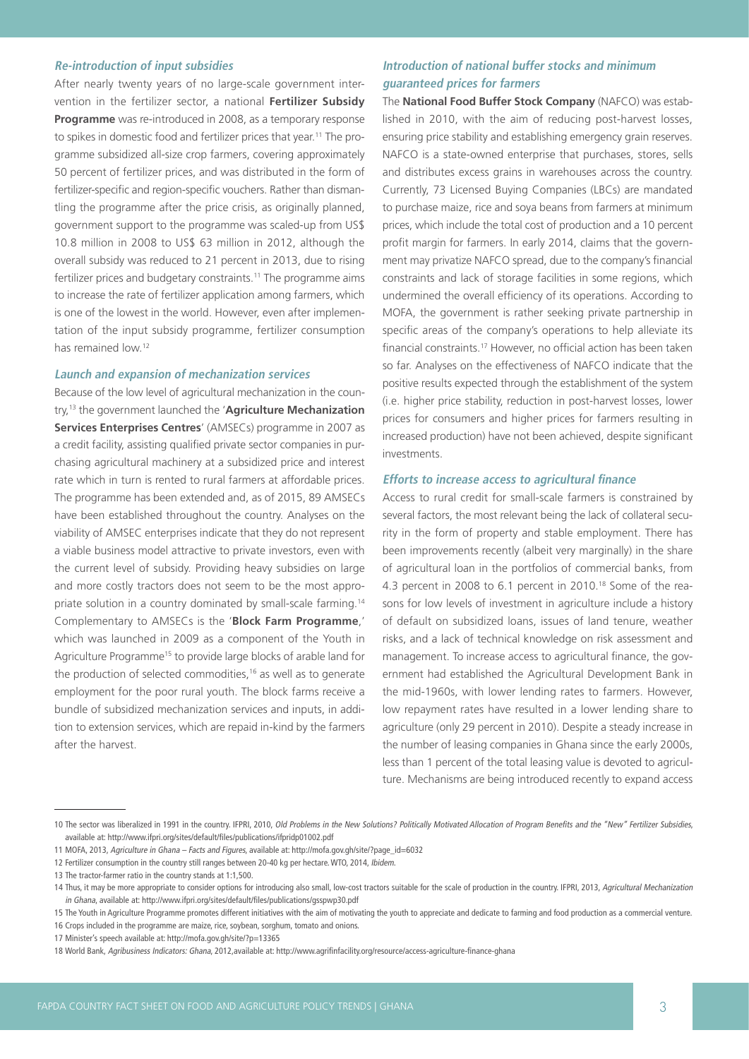#### **Re-introduction of input subsidies**

After nearly twenty years of no large-scale government intervention in the fertilizer sector, a national **Fertilizer Subsidy Programme** was re-introduced in 2008, as a temporary response to spikes in domestic food and fertilizer prices that year.11 The programme subsidized all-size crop farmers, covering approximately 50 percent of fertilizer prices, and was distributed in the form of fertilizer-specific and region-specific vouchers. Rather than dismantling the programme after the price crisis, as originally planned, government support to the programme was scaled-up from US\$ 10.8 million in 2008 to US\$ 63 million in 2012, although the overall subsidy was reduced to 21 percent in 2013, due to rising fertilizer prices and budgetary constraints.<sup>11</sup> The programme aims to increase the rate of fertilizer application among farmers, which is one of the lowest in the world. However, even after implementation of the input subsidy programme, fertilizer consumption has remained low.12

#### **Launch and expansion of mechanization services**

Because of the low level of agricultural mechanization in the country,13 the government launched the '**Agriculture Mechanization Services Enterprises Centres**' (AMSECs) programme in 2007 as a credit facility, assisting qualified private sector companies in purchasing agricultural machinery at a subsidized price and interest rate which in turn is rented to rural farmers at affordable prices. The programme has been extended and, as of 2015, 89 AMSECs have been established throughout the country. Analyses on the viability of AMSEC enterprises indicate that they do not represent a viable business model attractive to private investors, even with the current level of subsidy. Providing heavy subsidies on large and more costly tractors does not seem to be the most appropriate solution in a country dominated by small-scale farming.14 Complementary to AMSECs is the '**Block Farm Programme**,' which was launched in 2009 as a component of the Youth in Agriculture Programme<sup>15</sup> to provide large blocks of arable land for the production of selected commodities,<sup>16</sup> as well as to generate employment for the poor rural youth. The block farms receive a bundle of subsidized mechanization services and inputs, in addition to extension services, which are repaid in-kind by the farmers after the harvest.

### **Introduction of national buffer stocks and minimum guaranteed prices for farmers**

The **National Food Buffer Stock Company** (NAFCO) was established in 2010, with the aim of reducing post-harvest losses, ensuring price stability and establishing emergency grain reserves. NAFCO is a state-owned enterprise that purchases, stores, sells and distributes excess grains in warehouses across the country. Currently, 73 Licensed Buying Companies (LBCs) are mandated to purchase maize, rice and soya beans from farmers at minimum prices, which include the total cost of production and a 10 percent profit margin for farmers. In early 2014, claims that the government may privatize NAFCO spread, due to the company's financial constraints and lack of storage facilities in some regions, which undermined the overall efficiency of its operations. According to MOFA, the government is rather seeking private partnership in specific areas of the company's operations to help alleviate its financial constraints.17 However, no official action has been taken so far. Analyses on the effectiveness of NAFCO indicate that the positive results expected through the establishment of the system (i.e. higher price stability, reduction in post-harvest losses, lower prices for consumers and higher prices for farmers resulting in increased production) have not been achieved, despite significant investments.

#### **Efforts to increase access to agricultural finance**

Access to rural credit for small-scale farmers is constrained by several factors, the most relevant being the lack of collateral security in the form of property and stable employment. There has been improvements recently (albeit very marginally) in the share of agricultural loan in the portfolios of commercial banks, from 4.3 percent in 2008 to 6.1 percent in 2010.18 Some of the reasons for low levels of investment in agriculture include a history of default on subsidized loans, issues of land tenure, weather risks, and a lack of technical knowledge on risk assessment and management. To increase access to agricultural finance, the government had established the Agricultural Development Bank in the mid-1960s, with lower lending rates to farmers. However, low repayment rates have resulted in a lower lending share to agriculture (only 29 percent in 2010). Despite a steady increase in the number of leasing companies in Ghana since the early 2000s, less than 1 percent of the total leasing value is devoted to agriculture. Mechanisms are being introduced recently to expand access

<sup>10</sup> The sector was liberalized in 1991 in the country. IFPRI, 2010, Old Problems in the New Solutions? Politically Motivated Allocation of Program Benefits and the "New" Fertilizer Subsidies, available at: <http://www.ifpri.org/sites/default/files/publications/ifpridp01002.pdf>

<sup>11</sup> MOFA, 2013, Agriculture in Ghana – Facts and Figures, available at: [http://mofa.gov.gh/site/?page\\_id=6032](http://mofa.gov.gh/site/?page_id=6032)

<sup>12</sup> Fertilizer consumption in the country still ranges between 20-40 kg per hectare. WTO, 2014, Ibidem.

<sup>13</sup> The tractor-farmer ratio in the country stands at 1:1,500.

<sup>14</sup> Thus, it may be more appropriate to consider options for introducing also small, low-cost tractors suitable for the scale of production in the country. IFPRI, 2013, Agricultural Mechanization in Ghana, available at: <http://www.ifpri.org/sites/default/files/publications/gsspwp30.pdf>

<sup>15</sup> The Youth in Agriculture Programme promotes different initiatives with the aim of motivating the youth to appreciate and dedicate to farming and food production as a commercial venture.

<sup>16</sup> Crops included in the programme are maize, rice, soybean, sorghum, tomato and onions.

<sup>17</sup> Minister's speech available at:<http://mofa.gov.gh/site/?p=13365>

<sup>18</sup> World Bank, Agribusiness Indicators: Ghana, 2012,available at: http://www.agrifinfacility.org/resource/access-agriculture-finance-ghana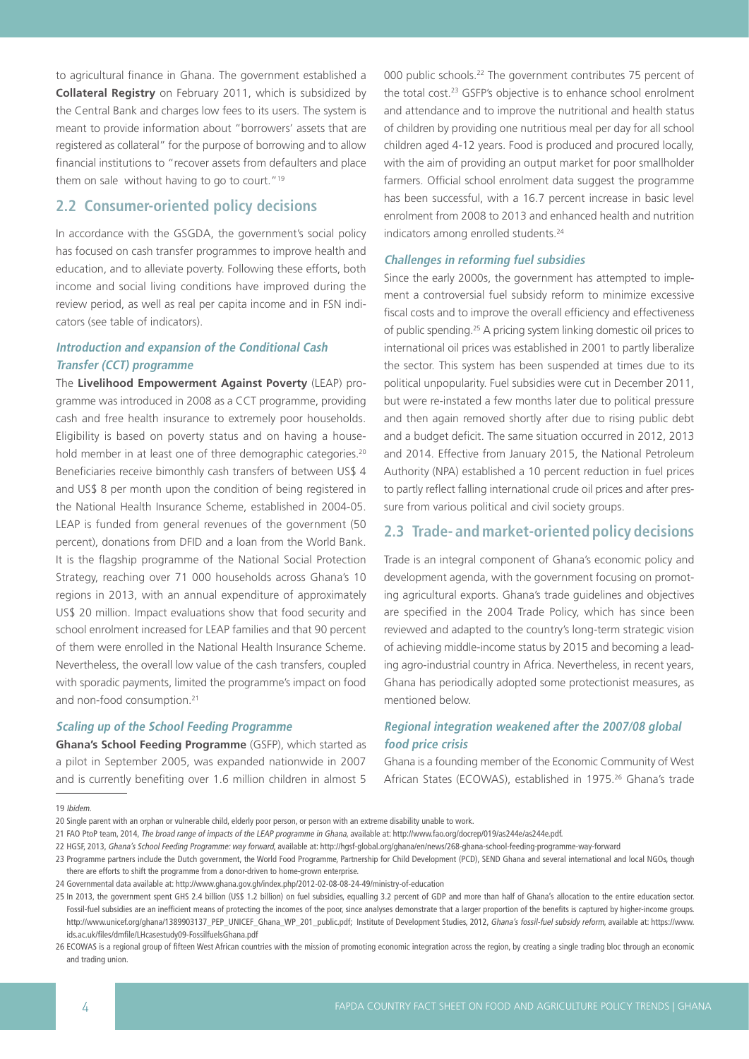to agricultural finance in Ghana. The government established a **Collateral Registry** on February 2011, which is subsidized by the Central Bank and charges low fees to its users. The system is meant to provide information about "borrowers' assets that are registered as collateral" for the purpose of borrowing and to allow financial institutions to "recover assets from defaulters and place them on sale without having to go to court."19

## **2.2 Consumer-oriented policy decisions**

In accordance with the GSGDA, the government's social policy has focused on cash transfer programmes to improve health and education, and to alleviate poverty. Following these efforts, both income and social living conditions have improved during the review period, as well as real per capita income and in FSN indicators (see table of indicators).

### **Introduction and expansion of the Conditional Cash Transfer (CCT) programme**

The **Livelihood Empowerment Against Poverty** (LEAP) programme was introduced in 2008 as a CCT programme, providing cash and free health insurance to extremely poor households. Eligibility is based on poverty status and on having a household member in at least one of three demographic categories.<sup>20</sup> Beneficiaries receive bimonthly cash transfers of between US\$ 4 and US\$ 8 per month upon the condition of being registered in the National Health Insurance Scheme, established in 2004-05. LEAP is funded from general revenues of the government (50 percent), donations from DFID and a loan from the World Bank. It is the flagship programme of the National Social Protection Strategy, reaching over 71 000 households across Ghana's 10 regions in 2013, with an annual expenditure of approximately US\$ 20 million. Impact evaluations show that food security and school enrolment increased for LEAP families and that 90 percent of them were enrolled in the National Health Insurance Scheme. Nevertheless, the overall low value of the cash transfers, coupled with sporadic payments, limited the programme's impact on food and non-food consumption.<sup>21</sup>

#### **Scaling up of the School Feeding Programme**

**Ghana's School Feeding Programme** (GSFP), which started as a pilot in September 2005, was expanded nationwide in 2007 and is currently benefiting over 1.6 million children in almost 5 000 public schools.<sup>22</sup> The government contributes 75 percent of the total cost.<sup>23</sup> GSFP's objective is to enhance school enrolment and attendance and to improve the nutritional and health status of children by providing one nutritious meal per day for all school children aged 4-12 years. Food is produced and procured locally, with the aim of providing an output market for poor smallholder farmers. Official school enrolment data suggest the programme has been successful, with a 16.7 percent increase in basic level enrolment from 2008 to 2013 and enhanced health and nutrition indicators among enrolled students.<sup>24</sup>

#### **Challenges in reforming fuel subsidies**

Since the early 2000s, the government has attempted to implement a controversial fuel subsidy reform to minimize excessive fiscal costs and to improve the overall efficiency and effectiveness of public spending.25 A pricing system linking domestic oil prices to international oil prices was established in 2001 to partly liberalize the sector. This system has been suspended at times due to its political unpopularity. Fuel subsidies were cut in December 2011, but were re-instated a few months later due to political pressure and then again removed shortly after due to rising public debt and a budget deficit. The same situation occurred in 2012, 2013 and 2014. Effective from January 2015, the National Petroleum Authority (NPA) established a 10 percent reduction in fuel prices to partly reflect falling international crude oil prices and after pressure from various political and civil society groups.

### **2.3 Trade- and market-oriented policy decisions**

Trade is an integral component of Ghana's economic policy and development agenda, with the government focusing on promoting agricultural exports. Ghana's trade guidelines and objectives are specified in the 2004 Trade Policy, which has since been reviewed and adapted to the country's long-term strategic vision of achieving middle-income status by 2015 and becoming a leading agro-industrial country in Africa. Nevertheless, in recent years, Ghana has periodically adopted some protectionist measures, as mentioned below.

## **Regional integration weakened after the 2007/08 global food price crisis**

Ghana is a founding member of the Economic Community of West African States (ECOWAS), established in 1975.<sup>26</sup> Ghana's trade

19 Ibidem.

25 In 2013, the government spent GHS 2.4 billion (US\$ 1.2 billion) on fuel subsidies, equalling 3.2 percent of GDP and more than half of Ghana's allocation to the entire education sector. Fossil-fuel subsidies are an inefficient means of protecting the incomes of the poor, since analyses demonstrate that a larger proportion of the benefits is captured by higher-income groups. [http://www.unicef.org/ghana/1389903137\\_PEP\\_UNICEF\\_Ghana\\_WP\\_201\\_public.pdf;](http://www.unicef.org/ghana/1389903137_PEP_UNICEF_Ghana_WP_201_public.pdf) Institute of Development Studies, 2012, Ghana's fossil-fuel subsidy reform, available at: [https://www.](https://www.ids.ac.uk/files/dmfile/LHcasestudy09-FossilfuelsGhana.pdf) [ids.ac.uk/files/dmfile/LHcasestudy09-FossilfuelsGhana.pdf](https://www.ids.ac.uk/files/dmfile/LHcasestudy09-FossilfuelsGhana.pdf)

26 ECOWAS is a regional group of fifteen West African countries with the mission of promoting economic integration across the region, by creating a single trading bloc through an economic and trading union.

<sup>20</sup> Single parent with an orphan or vulnerable child, elderly poor person, or person with an extreme disability unable to work.

<sup>21</sup> FAO PtoP team, 2014, The broad range of impacts of the LEAP programme in Ghana, available at:<http://www.fao.org/docrep/019/as244e/as244e.pdf>.

<sup>22</sup> HGSF, 2013, Ghana's School Feeding Programme: way forward, available at: <http://hgsf-global.org/ghana/en/news/268-ghana-school-feeding-programme-way-forward>

<sup>23</sup> Programme partners include the Dutch government, the World Food Programme, Partnership for Child Development (PCD), SEND Ghana and several international and local NGOs, though there are efforts to shift the programme from a donor-driven to home-grown enterprise.

<sup>24</sup> Governmental data available at: <http://www.ghana.gov.gh/index.php/2012-02-08-08-24-49/ministry-of-education>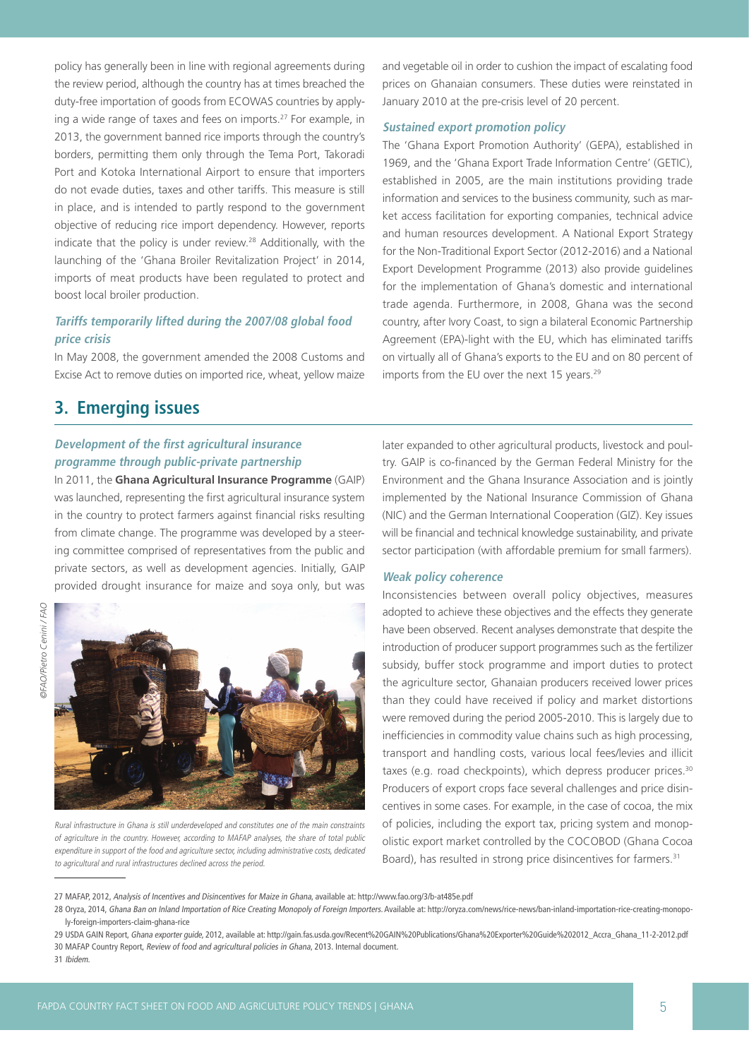policy has generally been in line with regional agreements during the review period, although the country has at times breached the duty-free importation of goods from ECOWAS countries by applying a wide range of taxes and fees on imports.<sup>27</sup> For example, in 2013, the government banned rice imports through the country's borders, permitting them only through the Tema Port, Takoradi Port and Kotoka International Airport to ensure that importers do not evade duties, taxes and other tariffs. This measure is still in place, and is intended to partly respond to the government objective of reducing rice import dependency. However, reports indicate that the policy is under review.28 Additionally, with the launching of the 'Ghana Broiler Revitalization Project' in 2014, imports of meat products have been regulated to protect and boost local broiler production.

## **Tariffs temporarily lifted during the 2007/08 global food price crisis**

In May 2008, the government amended the 2008 Customs and Excise Act to remove duties on imported rice, wheat, yellow maize

## **3. Emerging issues**

## **Development of the first agricultural insurance programme through public-private partnership**

In 2011, the **Ghana Agricultural Insurance Programme** (GAIP) was launched, representing the first agricultural insurance system in the country to protect farmers against financial risks resulting from climate change. The programme was developed by a steering committee comprised of representatives from the public and private sectors, as well as development agencies. Initially, GAIP provided drought insurance for maize and soya only, but was



Rural infrastructure in Ghana is still underdeveloped and constitutes one of the main constraints of agriculture in the country. However, according to MAFAP analyses, the share of total public expenditure in support of the food and agriculture sector, including administrative costs, dedicated to agricultural and rural infrastructures declined across the period.

and vegetable oil in order to cushion the impact of escalating food prices on Ghanaian consumers. These duties were reinstated in January 2010 at the pre-crisis level of 20 percent.

#### **Sustained export promotion policy**

The 'Ghana Export Promotion Authority' (GEPA), established in 1969, and the 'Ghana Export Trade Information Centre' (GETIC), established in 2005, are the main institutions providing trade information and services to the business community, such as market access facilitation for exporting companies, technical advice and human resources development. A National Export Strategy for the Non-Traditional Export Sector (2012-2016) and a National Export Development Programme (2013) also provide guidelines for the implementation of Ghana's domestic and international trade agenda. Furthermore, in 2008, Ghana was the second country, after Ivory Coast, to sign a bilateral Economic Partnership Agreement (EPA)-light with the EU, which has eliminated tariffs on virtually all of Ghana's exports to the EU and on 80 percent of imports from the EU over the next 15 years.<sup>29</sup>

later expanded to other agricultural products, livestock and poultry. GAIP is co-financed by the German Federal Ministry for the Environment and the Ghana Insurance Association and is jointly implemented by the National Insurance Commission of Ghana (NIC) and the German International Cooperation (GIZ). Key issues will be financial and technical knowledge sustainability, and private sector participation (with affordable premium for small farmers).

#### **Weak policy coherence**

Inconsistencies between overall policy objectives, measures adopted to achieve these objectives and the effects they generate have been observed. Recent analyses demonstrate that despite the introduction of producer support programmes such as the fertilizer subsidy, buffer stock programme and import duties to protect the agriculture sector, Ghanaian producers received lower prices than they could have received if policy and market distortions were removed during the period 2005-2010. This is largely due to inefficiencies in commodity value chains such as high processing, transport and handling costs, various local fees/levies and illicit taxes (e.g. road checkpoints), which depress producer prices.<sup>30</sup> Producers of export crops face several challenges and price disincentives in some cases. For example, in the case of cocoa, the mix of policies, including the export tax, pricing system and monopolistic export market controlled by the COCOBOD (Ghana Cocoa Board), has resulted in strong price disincentives for farmers.<sup>31</sup>

<sup>27</sup> MAFAP, 2012, Analysis of Incentives and Disincentives for Maize in Ghana, available at: http://www.fao.org/3/b-at485e.pdf

<sup>28</sup> Oryza, 2014, Ghana Ban on Inland Importation of Rice Creating Monopoly of Foreign Importers. Available at: [http://oryza.com/news/rice-news/ban-inland-importation-rice-creating-monopo](http://oryza.com/news/rice-news/ban-inland-importation-rice-creating-monopoly-foreign-importers-claim-ghana-rice)[ly-foreign-importers-claim-ghana-rice](http://oryza.com/news/rice-news/ban-inland-importation-rice-creating-monopoly-foreign-importers-claim-ghana-rice)

<sup>29</sup> USDA GAIN Report, Ghana exporter guide, 2012, available at: [http://gain.fas.usda.gov/Recent%20GAIN%20Publications/Ghana%20Exporter%20Guide%202012\\_Accra\\_Ghana\\_11-2-2012.pdf](http://gain.fas.usda.gov/Recent GAIN Publications/Ghana Exporter Guide 2012_Accra_Ghana_11-2-2012.pdf) 30 MAFAP Country Report, Review of food and agricultural policies in Ghana, 2013. Internal document.

<sup>31</sup> Ibidem.